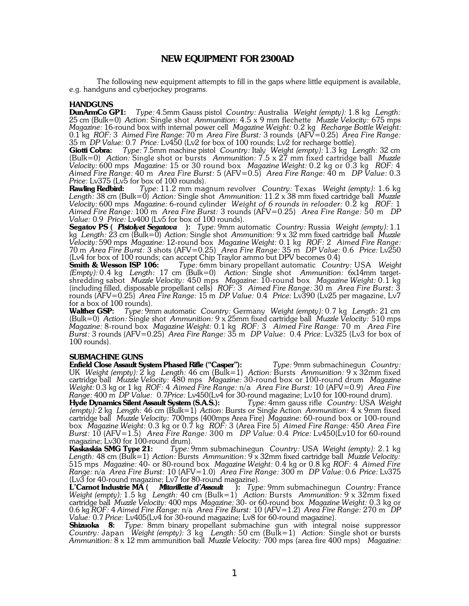## **NEW EQUIPMENT FOR 2300AD**

The following new equipment attempts to fill in the gaps where little equipment is available, e.g. handguns and cyberjockey programs.

### **HANDGUNS**

**DunArmCo GP1:** *Type:* 4.5mm Gauss pistol *Country:* Australia *Weight (empty):* 1.8 kg *Length:* 25 cm (Bulk=0) *Action:* Single shot *Ammunition*: 4.5 x 9 mm flechette *Muzzle Velocity:* 675 mps *Magazine:* 16-round box with internal power cell *Magazine Weight:* 0.2 kg *Recharge Bottle Weight:* 0.1 kg *ROF:* 3 *Aimed Fire Range:* 70 m *Area Fire Burst:* 3 rounds (AFV=0.25) *Area Fire Range:* 35 m *DP Value:* 0.7 *Price:* Lv450 (Lv2 for box of 100 rounds; Lv2 for recharge bottle).

**Giotti Cobra:** *Type:* 7.5mm machine pistol *Country:* Italy *Weight (empty):* 1.3 kg *Length:* 32 cm (Bulk=0) *Action:* Single shot or bursts *Ammunition:* 7.5 x 27 mm fixed cartridge ball *Muzzle Velocity:* 600 mps *Magazine:* 15 or 30 round box *Magazine Weight:* 0.2 kg or 0.3 kg *ROF:* 4 *Aimed Fire Range:* 40 m *Area Fire Burst:* 5 (AFV=0.5) *Area Fire Range:* 40 m *DP Value:* 0.3

*Price:* Lv375 (Lv5 for box of 100 rounds).<br>**Rawling Redbird:** Type: 11.2 mm mag **Rawling Redbird:** *Type:* 11.2 mm magnum revolver *Country:* Texas *Weight (empty):* 1.6 kg *Length:* 38 cm (Bulk=0) *Action:* Single shot *Ammunition:* 11.2 x 38 mm fixed cartridge ball *Muzzle Velocity:* 600 mps *Magazine:* 6-round cylinder *Weight of 6 rounds in reloader:* 0.2 kg *ROF:* 1 *Aimed Fire Range:* 100 m *Area Fire Burst:* 3 rounds (AFV=0.25) *Area Fire Range:* 50 m *DP Value:* 0.9 *Price:* Lv400 (Lv5 for box of 100 rounds).

**Segatov PS (** *Pistolyet Segatova* **):** *Type:* 9mm automatic *Country:* Russia *Weight (empty):* 1.1 kg *Length:* 23 cm (Bulk=0) *Action:* Single shot *Ammunition:* 9 x 32 mm fixed cartridge ball *Muzzle Velocity:* 590 mps *Magazine:* 12-round box *Magazine Weight:* 0.1 kg *ROF:* 2 *Aimed Fire Range:* 70 m *Area Fire Burst:* 3 shots (AFV=0.25) *Area Fire Range:* 35 m *DP Value:* 0.6 *Price:* Lv250 (Lv4 for box of 100 rounds; can accept Chip Traylor ammo but DPV becomes 0.4)

**Smith & Wesson ISP 106:** *Type:* 6mm binary propellant automatic *Country:* USA *Weight (Empty):* 0.4 kg *Length:* 17 cm (Bulk=0) *Action:* Single shot *Ammunition:* 6x14mm targetshredding sabot *Muzzle Velocity:* 450 mps *Magazine:* 10-round box *Magazine Weight:* 0.1 kg (including filled, disposable propellant cells) *ROF:* 3 *Aimed Fire Range:* 30 m *Area Fire Burst:* 3 rounds (AFV=0.25) *Area Fire Range:* 15 m *DP Value:* 0.4 *Price:* Lv390 (Lv25 per magazine, Lv7 for a box of 100 rounds).

**Walther GSP:** *Type:* 9mm automatic *Country:* Germany *Weight (empty):* 0.7 kg *Length:* 21 cm (Bulk=0) *Action:* Single shot *Ammunition:* 9 x 25mm fixed cartridge ball *Muzzle Velocity:* 510 mps *Magazine:* 8-round box *Magazine Weight:* 0.1 kg *ROF:* 3 *Aimed Fire Range:* 70 m *Area Fire Burst:* 3 rounds (AFV=0.25) *Area Fire Range:* 35 m *DP Value:* 0.4 *Price:* Lv325 (Lv3 for box of 100 rounds).

### **SUBMACHINE GUNS**

**Enfield Close Assault System Phased Rifle ("Casper"):** *Type:* 9mm submachinegun *Country:* UK *Weight (empty):* 2 kg *Length:* 46 cm (Bulk=1) *Action:* Bursts *Ammunition:* 9 x 32mm fixed cartridge ball *Muzzle Velocity:* 480 mps *Magazine:* 30-round box or 100-round drum *Magazine Weight:* 0.3 kg or 1 kg *ROF:* 4 *Aimed Fire Range:* n/a *Area Fire Burst:* 10 (AFV=0.9) *Area Fire Range:* 400 m *DP Value:* 0.7*Price:* Lv450(Lv4 for 30-round magazine; Lv10 for 100-round drum).

**Hyde Dynamics Silent Assault System (S.A.S.):** *Type:* 4mm gauss rifle *Country:* USA *Weight (empty):* 2 kg *Length:* 46 cm (Bulk=1) *Action:* Bursts or Single Action *Ammunition:* 4 x 9mm fixed cartridge ball *Muzzle Velocity:* 700mps (400mps Area Fire) *Magazine:* 60-round box or 100-round box *Magazine Weight:* 0.3 kg or 0.7 kg *ROF:* 3 (Area Fire 5) *Aimed Fire Range:* 450 *Area Fire Burst:* 10 (AFV=1.5) *Area Fire Range:* 300 m *DP Value:* 0.4 *Price:* Lv450(Lv10 for 60-round magazine; Lv30 for 100-round drum).

**Kaskaskia SMG Type 21:** *Type:* 9mm submachinegun *Country:* USA *Weight (empty):* 2.1 kg *Length:* 48 cm (Bulk=1) *Action:* Bursts *Ammunition:* 9 x 32mm fixed cartridge ball *Muzzle Velocity:* 515 mps *Magazine:* 40- or 80-round box *Magazine Weight:* 0.4 kg or 0.8 kg *ROF:* 4 *Aimed Fire Range:* n/a *Area Fire Burst:* 10 (AFV=1.0) *Area Fire Range:* 300 m *DP Value:* 0.6 *Price:* Lv375 (Lv3 for 40-round magazine; Lv7 for 80-round magazine).

**L'Carnot Industrie MA (** *Mitarillette d'Assault* **):** *Type:* 9mm submachinegun *Country:* France *Weight (empty):* 1.5 kg *Length:* 40 cm (Bulk=1) *Action:* Bursts *Ammunition:* 9 x 32mm fixed cartridge ball *Muzzle Velocity:* 400 mps *Magazine:* 30- or 60-round box *Magazine Weight:* 0.3 kg or 0.6 kg *ROF:* 4 *Aimed Fire Range:* n/a *Area Fire Burst:* 10 (AFV=1.2) *Area Fire Range:* 270 m *DP Value:* 0.7 *Price:* Lv405(Lv4 for 30-round magazine; Lv8 for 60-round magazine).

**Shizuoka 8:** *Type:* 8mm binary propellant submachine gun with integral noise suppressor *Country:* Japan *Weight (empty):* 3 kg *Length:* 50 cm (Bulk=1) *Action:* Single shot or bursts *Ammunition:* 8 x 12 mm ammunition ball *Muzzle Velocity:* 700 mps (area fire 400 mps) *Magazine:*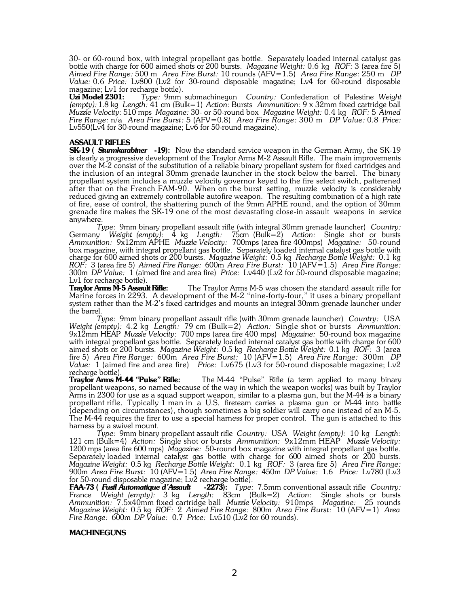30- or 60-round box, with integral propellant gas bottle. Separately loaded internal catalyst gas bottle with charge for 600 aimed shots or 200 bursts. *Magazine Weight:* 0.6 kg *ROF:* 3 (area fire 5) *Aimed Fire Range:* 500 m *Area Fire Burst:* 10 rounds (AFV=1.5) *Area Fire Range:* 250 m *DP Value:* 0.6 *Price:* Lv800 (Lv2 for 30-round disposable magazine; Lv4 for 60-round disposable magazine; Lv1 for recharge bottle).<br>Uzi Model 2301: Type: 9mm

**Uzi Model 2301:** *Type:* 9mm submachinegun *Country:* Confederation of Palestine *Weight (empty):* 1.8 kg *Length:* 41 cm (Bulk=1) *Action:* Bursts *Ammunition:* 9 x 32mm fixed cartridge ball *Muzzle Velocity:* 510 mps *Magazine:* 30- or 50-round box *Magazine Weight:* 0.4 kg *ROF:* 5 *Aimed Fire Range:* n/a *Area Fire Burst:* 5 (AFV=0.8) *Area Fire Range:* 300 m *DP Value:* 0.8 *Price:* Lv550(Lv4 for 30-round magazine; Lv6 for 50-round magazine).

### **ASSAULT RIFLES**

**SK-19 (** *Sturmkarabiner* **-19):** Now the standard service weapon in the German Army, the SK-19 is clearly a progressive development of the Traylor Arms M-2 Assault Rifle. The main improvements over the M-2 consist of the substitution of a reliable binary propellant system for fixed cartridges and the inclusion of an integral 30mm grenade launcher in the stock below the barrel. The binary propellant system includes a muzzle velocity governor keyed to the fire select switch, patterened after that on the French FAM-90. When on the burst setting, muzzle velocity is considerably reduced giving an extremely controllable autofire weapon. The resulting combination of a high rate of fire, ease of control, the shattering punch of the 9mm APHE round, and the option of 30mm grenade fire makes the SK-19 one of the most devastating close-in assault weapons in service anywhere.

*Type:* 9mm binary propellant assault rifle (with integral 30mm grenade launcher) *Country:* Germany *Weight (empty):* 4 kg *Length:* 75cm (Bulk=2) *Action:* Single shot or bursts *Ammunition:* 9x12mm APHE *Muzzle Velocity:* 700mps (area fire 400mps) *Magazine:* 50-round box magazine, with integral propellant gas bottle. Separately loaded internal catalyst gas bottle with charge for 600 aimed shots or 200 bursts. *Magazine Weight:* 0.5 kg *Recharge Bottle Weight:* 0.1 kg *ROF:* 3 (area fire 5) *Aimed Fire Range:* 600m *Area Fire Burst:* 10 (AFV=1.5) *Area Fire Range:* 300m *DP Value:* 1 (aimed fire and area fire) *Price:* Lv440 (Lv2 for 50-round disposable magazine; Lv1 for recharge bottle).<br>Traylor Arms M-5 Assault Rifle:

The Traylor Arms M-5 was chosen the standard assault rifle for Marine forces in 2293. A development of the M-2 "nine-forty-four," it uses a binary propellant system rather than the M-2's fixed cartridges and mounts an integral 30mm grenade launcher under the barrel.

*Type:* 9mm binary propellant assault rifle (with 30mm grenade launcher) *Country:* USA *Weight (empty):* 4.2 kg *Length:* 79 cm (Bulk=2) *Action:* Single shot or bursts *Ammunition:* 9x12mm HEAP *Muzzle Velocity:* 700 mps (area fire 400 mps) *Magazine:* 50-round box magazine with integral propellant gas bottle. Separately loaded internal catalyst gas bottle with charge for 600 aimed shots or 200 bursts. *Magazine Weight:* 0.5 kg *Recharge Bottle Weight:* 0.1 kg *ROF:* 3 (area fire 5) *Area Fire Range:* 600m *Area Fire Burst:* 10 (AFV=1.5) *Area Fire Range:* 300m *DP Value:* 1 (aimed fire and area fire) *Price:* Lv675 (Lv3 for 50-round disposable magazine; Lv2 recharge bottle).

**Traylor Arms M-44 "Pulse" Rifle:** The M-44 "Pulse" Rifle (a term applied to many binary propellant weapons, so named because of the way in which the weapon works) was built by Traylor Arms in 2300 for use as a squad support weapon, similar to a plasma gun, but the M-44 is a binary propellant rifle. Typically 1 man in a U.S. fireteam carries a plasma gun or M-44 into battle (depending on circumstances), though sometimes a big soldier will carry one instead of an M-5. The M-44 requires the firer to use a special harness for proper control. The gun is attached to this harness by a swivel mount.

*Type:* 9mm binary propellant assault rifle *Country:* USA *Weight (empty):* 10 kg *Length:* 121 cm (Bulk=4) *Action:* Single shot or bursts *Ammunition:* 9x12mm HEAP *Muzzle Velocity:* 1200 mps (area fire 600 mps) *Magazine:* 50-round box magazine with integral propellant gas bottle. Separately loaded internal catalyst gas bottle with charge for 600 aimed shots or 200 bursts. *Magazine Weight:* 0.5 kg *Recharge Bottle Weight:* 0.1 kg *ROF:* 3 (area fire 5) *Area Fire Range:* 900m *Area Fire Burst:* 10 (AFV=1.5) *Area Fire Range:* 450m *DP Value:* 1.6 *Price:* Lv780 (Lv3 for 50-round disposable magazine;  $Lv^2$  recharge bottle).<br>**FAA-73 (Fusil Automatique d'Assault -2273):** Type:

**FAA-73.** Fugge: 7.5mm conventional assault rifle *Country:* France *Weight (empty):* 3 kg *Length:* 83cm (Bulk=2) *Action:* Single shots or bursts *Ammunition:* 7.5x40mm fixed cartridge ball *Muzzle Velocity:* 910mps *Magazine:* 25 rounds *Magazine Weight:* 0.5 kg *ROF:* 2 *Aimed Fire Range:* 800m *Area Fire Burst:* 10 (AFV=1) *Area Fire Range:* 600m *DP Value:* 0.7 *Price:* Lv510 (Lv2 for 60 rounds).

#### **MACHINEGUNS**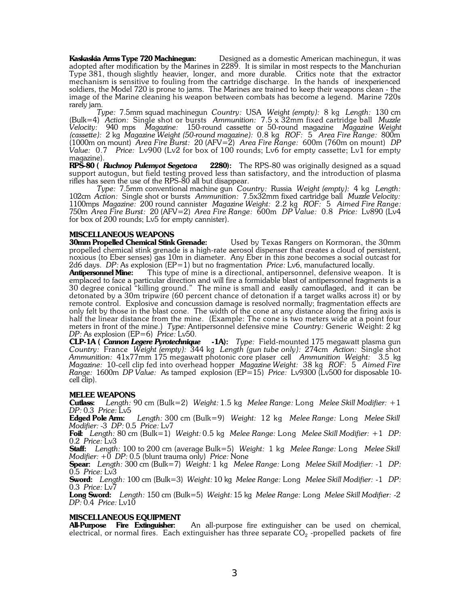**Kaskaskia Arms Type 720 Machinegun:** Designed as a domestic American machinegun, it was adopted after modification by the Marines in 2289. It is similar in most respects to the Manchurian Type 381, though slightly heavier, longer, and more durable. Critics note that the extractor mechanism is sensitive to fouling from the cartridge discharge. In the hands of inexperienced soldiers, the Model 720 is prone to jams. The Marines are trained to keep their weapons clean - the image of the Marine cleaning his weapon between combats has become a legend. Marine 720s rarely jam.

*Type:* 7.5mm squad machinegun *Country:* USA *Weight (empty):* 8 kg *Length:* 130 cm (Bulk=4) *Action:* Single shot or bursts *Ammunition:* 7.5 x 32mm fixed cartridge ball *Muzzle Velocity:* 940 mps *Magazine:* 150-round cassette or 50-round magazine *Magazine Weight (cassette):* 2 kg *Magazine Weight (50-round magazine):* 0.8 kg *ROF:* 5 *Area Fire Range:* 800m (1000m on mount) *Area Fire Burst:* 20 (AFV=2) *Area Fire Range:* 600m (760m on mount) *DP Value:* 0.7 *Price:* Lv900 (Lv2 for box of 100 rounds; Lv6 for empty cassette; Lv1 for empty magazine).

**RPS-80 (** *Ruchnoy Pulemyot Segetova* **2280):** The RPS-80 was originally designed as a squad support autogun, but field testing proved less than satisfactory, and the introduction of plasma rifles has seen the use of the RPS-80 all but disappear.

*Type:* 7.5mm conventional machine gun *Country:* Russia *Weight (empty):* 4 kg *Length:* 102cm *Action:* Single shot or bursts *Ammunition:* 7.5x32mm fixed cartridge ball *Muzzle Velocity:* 1100mps *Magazine:* 200 round cannister *Magazine Weight:* 2.2 kg *ROF:* 5 *Aimed Fire Range:* 750m *Area Fire Burst:* 20 (AFV=2) *Area Fire Range:* 600m *DP Value:* 0.8 *Price:* Lv890 (Lv4 for box of 200 rounds; Lv5 for empty cannister).

**MISCELLANEOUS WEAPONS 30mm Propelled Chemical Stink Grenade:** Used by Texas Rangers on Kormoran, the 30mm propelled chemical stink grenade is a high-rate aerosol dispenser that creates a cloud of persistent, noxious (to Eber senses) gas 10m in diameter. Any Eber in this zone becomes a social outcast for 2d6 days. *DP:* As explosion (EP=1) but no fragmentation *Price:* Lv6, manufactured locally.<br>**Antipersonnel Mine:** This type of mine is a directional, antipersonnel, defensive weapc

This type of mine is a directional, antipersonnel, defensive weapon. It is emplaced to face a particular direction and will fire a formidable blast of antipersonnel fragments is a 30 degree conical "killing ground." The mine is small and easily camouflaged, and it can be detonated by a 30m tripwire (60 percent chance of detonation if a target walks across it) or by remote control. Explosive and concussion damage is resolved normally; fragmentation effects are only felt by those in the blast cone. The width of the cone at any distance along the firing axis is half the linear distance from the mine. (Example: The cone is two meters wide at a point four meters in front of the mine.) *Type:* Antipersonnel defensive mine *Country:* Generic Weight: 2 kg *DP:* As explosion (EP=6) *Price:* Lv50.

**CLP-1A (** *Cannon Legere Pyrotechnique* **-1A):** *Type:* Field-mounted 175 megawatt plasma gun *Country:* France *Weight (empty):* 344 kg *Length (gun tube only):* 274cm *Action:* Single shot *Ammunition:* 41x77mm 175 megawatt photonic core plaser cell *Ammunition Weight:* 3.5 kg *Magazine:* 10-cell clip fed into overhead hopper *Magazine Weight:* 38 kg *ROF:* 5 *Aimed Fire Range:* 1600m *DP Value:* As tamped explosion (EP=15) *Price:* Lv9300 (Lv500 for disposable 10 cell clip).

# **MELEE WEAPONS**<br>**Cutlass:** *Length:* 9

**Cutlass:** *Length:* 90 cm (Bulk=2) *Weight:* 1.5 kg *Melee Range:* Long *Melee Skill Modifier:* +1 *DP:* 0.3 *Price:* Lv5

**Edged Pole Arm:** *Length:* 300 cm (Bulk=9) *Weight:* 12 kg *Melee Range:* Long *Melee Skill Modifier:* -3 *DP:* 0.5 *Price:* Lv7

**Foil:** *Length:* 80 cm (Bulk=1) *Weight:* 0.5 kg *Melee Range:* Long *Melee Skill Modifier:* +1 *DP:* 0.2 *Price:* Lv3

**Staff:** *Length:* 100 to 200 cm (average Bulk=5) *Weight:* 1 kg *Melee Range:* Long *Melee Skill Modifier:* +0 *DP:* 0.5 (blunt trauma only) *Price:* None

**Spear:** *Length:* 300 cm (Bulk=7) *Weight:* 1 kg *Melee Range:* Long *Melee Skill Modifier:* -1 *DP:* 0.5 *Price:* Lv3

**Sword:** *Length:* 100 cm (Bulk=3) *Weight:* 10 kg *Melee Range:* Long *Melee Skill Modifier:* -1 *DP:* 0.3 *Price:* Lv7

**Long Sword:** *Length:* 150 cm (Bulk=5) *Weight:* 15 kg *Melee Range:* Long *Melee Skill Modifier:* -2 *DP:* 0.4 *Price:* Lv10

# **MISCELLANEOUS EQUIPMENT**<br>**All-Purpose** Fire Extinguisher:

An all-purpose fire extinguisher can be used on chemical, electrical, or normal fires. Each extinguisher has three separate  $\mathrm{CO}_2$  -propelled packets of fire